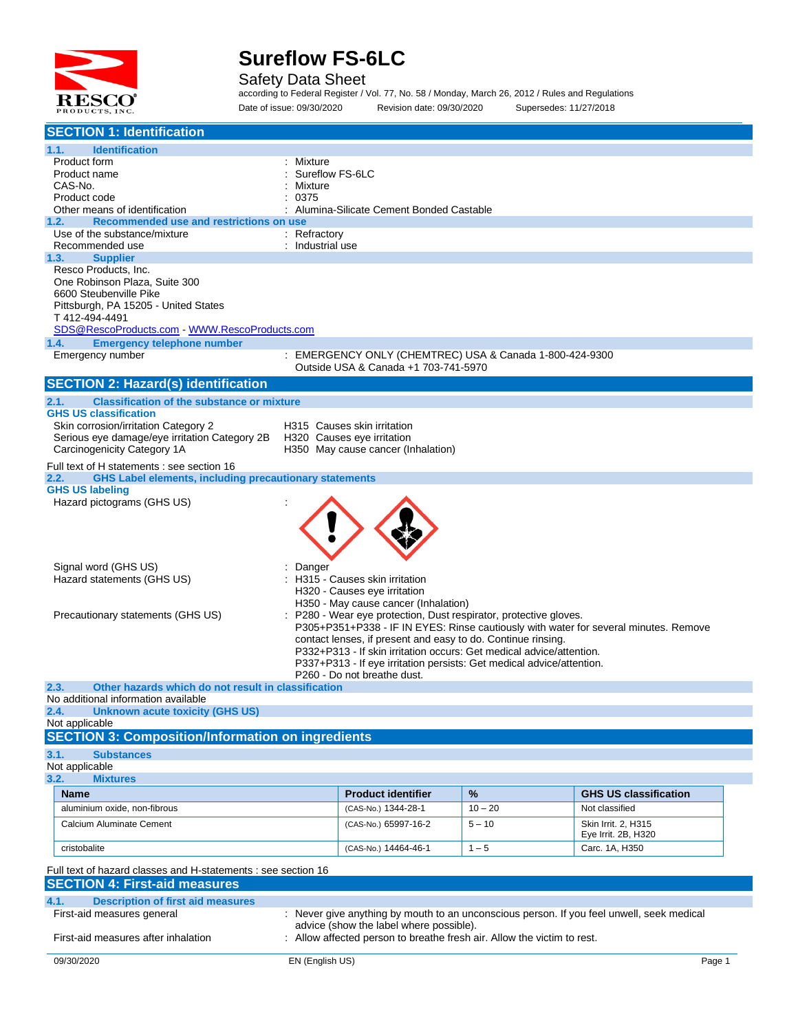

Safety Data Sheet

according to Federal Register / Vol. 77, No. 58 / Monday, March 26, 2012 / Rules and Regulations Date of issue: 09/30/2020 Revision date: 09/30/2020 Supersedes: 11/27/2018

| <b>SECTION 1: Identification</b>                                                                                    |                                      |                                                                                                         |           |                                                                                           |  |
|---------------------------------------------------------------------------------------------------------------------|--------------------------------------|---------------------------------------------------------------------------------------------------------|-----------|-------------------------------------------------------------------------------------------|--|
| 1.1.<br><b>Identification</b>                                                                                       |                                      |                                                                                                         |           |                                                                                           |  |
| Product form                                                                                                        | : Mixture                            |                                                                                                         |           |                                                                                           |  |
| Product name                                                                                                        | Sureflow FS-6LC                      |                                                                                                         |           |                                                                                           |  |
| CAS-No.<br>Product code                                                                                             | Mixture<br>0375                      |                                                                                                         |           |                                                                                           |  |
| Other means of identification                                                                                       |                                      | Alumina-Silicate Cement Bonded Castable                                                                 |           |                                                                                           |  |
| Recommended use and restrictions on use<br>1.2.                                                                     |                                      |                                                                                                         |           |                                                                                           |  |
| Use of the substance/mixture                                                                                        | : Refractory                         |                                                                                                         |           |                                                                                           |  |
| Recommended use                                                                                                     | : Industrial use                     |                                                                                                         |           |                                                                                           |  |
| 1.3.<br><b>Supplier</b>                                                                                             |                                      |                                                                                                         |           |                                                                                           |  |
| Resco Products, Inc.                                                                                                |                                      |                                                                                                         |           |                                                                                           |  |
| One Robinson Plaza, Suite 300                                                                                       |                                      |                                                                                                         |           |                                                                                           |  |
| 6600 Steubenville Pike<br>Pittsburgh, PA 15205 - United States                                                      |                                      |                                                                                                         |           |                                                                                           |  |
| T412-494-4491                                                                                                       |                                      |                                                                                                         |           |                                                                                           |  |
| SDS@RescoProducts.com WWW.RescoProducts.com                                                                         |                                      |                                                                                                         |           |                                                                                           |  |
| <b>Emergency telephone number</b><br>1.4.                                                                           |                                      |                                                                                                         |           |                                                                                           |  |
| Emergency number                                                                                                    |                                      | EMERGENCY ONLY (CHEMTREC) USA & Canada 1-800-424-9300                                                   |           |                                                                                           |  |
|                                                                                                                     | Outside USA & Canada +1 703-741-5970 |                                                                                                         |           |                                                                                           |  |
| <b>SECTION 2: Hazard(s) identification</b>                                                                          |                                      |                                                                                                         |           |                                                                                           |  |
| <b>Classification of the substance or mixture</b><br>2.1.                                                           |                                      |                                                                                                         |           |                                                                                           |  |
| <b>GHS US classification</b>                                                                                        |                                      |                                                                                                         |           |                                                                                           |  |
| Skin corrosion/irritation Category 2                                                                                |                                      | H315 Causes skin irritation                                                                             |           |                                                                                           |  |
| Serious eye damage/eye irritation Category 2B<br>Carcinogenicity Category 1A                                        |                                      | H320 Causes eye irritation<br>H350 May cause cancer (Inhalation)                                        |           |                                                                                           |  |
|                                                                                                                     |                                      |                                                                                                         |           |                                                                                           |  |
| Full text of H statements : see section 16<br><b>GHS Label elements, including precautionary statements</b><br>2.2. |                                      |                                                                                                         |           |                                                                                           |  |
| <b>GHS US labeling</b>                                                                                              |                                      |                                                                                                         |           |                                                                                           |  |
| Hazard pictograms (GHS US)                                                                                          |                                      |                                                                                                         |           |                                                                                           |  |
|                                                                                                                     |                                      |                                                                                                         |           |                                                                                           |  |
|                                                                                                                     |                                      |                                                                                                         |           |                                                                                           |  |
|                                                                                                                     |                                      |                                                                                                         |           |                                                                                           |  |
|                                                                                                                     |                                      |                                                                                                         |           |                                                                                           |  |
| Signal word (GHS US)                                                                                                | Danger                               |                                                                                                         |           |                                                                                           |  |
| Hazard statements (GHS US)                                                                                          |                                      | H315 - Causes skin irritation                                                                           |           |                                                                                           |  |
|                                                                                                                     |                                      | H320 - Causes eye irritation                                                                            |           |                                                                                           |  |
| Precautionary statements (GHS US)                                                                                   |                                      | H350 - May cause cancer (Inhalation)<br>P280 - Wear eye protection, Dust respirator, protective gloves. |           |                                                                                           |  |
|                                                                                                                     |                                      |                                                                                                         |           | P305+P351+P338 - IF IN EYES: Rinse cautiously with water for several minutes. Remove      |  |
|                                                                                                                     |                                      | contact lenses, if present and easy to do. Continue rinsing.                                            |           |                                                                                           |  |
|                                                                                                                     |                                      | P332+P313 - If skin irritation occurs: Get medical advice/attention.                                    |           |                                                                                           |  |
|                                                                                                                     |                                      | P337+P313 - If eye irritation persists: Get medical advice/attention.                                   |           |                                                                                           |  |
|                                                                                                                     |                                      | P260 - Do not breathe dust.                                                                             |           |                                                                                           |  |
| Other hazards which do not result in classification<br>2.3.<br>No additional information available                  |                                      |                                                                                                         |           |                                                                                           |  |
| 2.4.<br>Unknown acute toxicity (GHS US)                                                                             |                                      |                                                                                                         |           |                                                                                           |  |
| Not applicable                                                                                                      |                                      |                                                                                                         |           |                                                                                           |  |
| <b>SECTION 3: Composition/Information on ingredients</b>                                                            |                                      |                                                                                                         |           |                                                                                           |  |
| 3.1.<br><b>Substances</b>                                                                                           |                                      |                                                                                                         |           |                                                                                           |  |
| Not applicable                                                                                                      |                                      |                                                                                                         |           |                                                                                           |  |
| 3.2.<br><b>Mixtures</b>                                                                                             |                                      |                                                                                                         |           |                                                                                           |  |
| <b>Name</b>                                                                                                         |                                      | <b>Product identifier</b>                                                                               | %         | <b>GHS US classification</b>                                                              |  |
| aluminium oxide, non-fibrous                                                                                        |                                      | (CAS-No.) 1344-28-1                                                                                     | $10 - 20$ | Not classified                                                                            |  |
| Calcium Aluminate Cement                                                                                            |                                      | (CAS-No.) 65997-16-2                                                                                    | $5 - 10$  | Skin Irrit. 2, H315                                                                       |  |
|                                                                                                                     |                                      |                                                                                                         |           | Eye Irrit. 2B, H320                                                                       |  |
| cristobalite                                                                                                        |                                      | (CAS-No.) 14464-46-1                                                                                    | $1 - 5$   | Carc. 1A, H350                                                                            |  |
| Full text of hazard classes and H-statements : see section 16                                                       |                                      |                                                                                                         |           |                                                                                           |  |
| <b>SECTION 4: First-aid measures</b>                                                                                |                                      |                                                                                                         |           |                                                                                           |  |
| <b>Description of first aid measures</b>                                                                            |                                      |                                                                                                         |           |                                                                                           |  |
| 4.1.<br>First-aid measures general                                                                                  |                                      |                                                                                                         |           | : Never give anything by mouth to an unconscious person. If you feel unwell, seek medical |  |
|                                                                                                                     |                                      | advice (show the label where possible).                                                                 |           |                                                                                           |  |
| First-aid measures after inhalation                                                                                 |                                      | Allow affected person to breathe fresh air. Allow the victim to rest.                                   |           |                                                                                           |  |
|                                                                                                                     |                                      |                                                                                                         |           |                                                                                           |  |
| 09/30/2020                                                                                                          | EN (English US)                      |                                                                                                         |           | Page 1                                                                                    |  |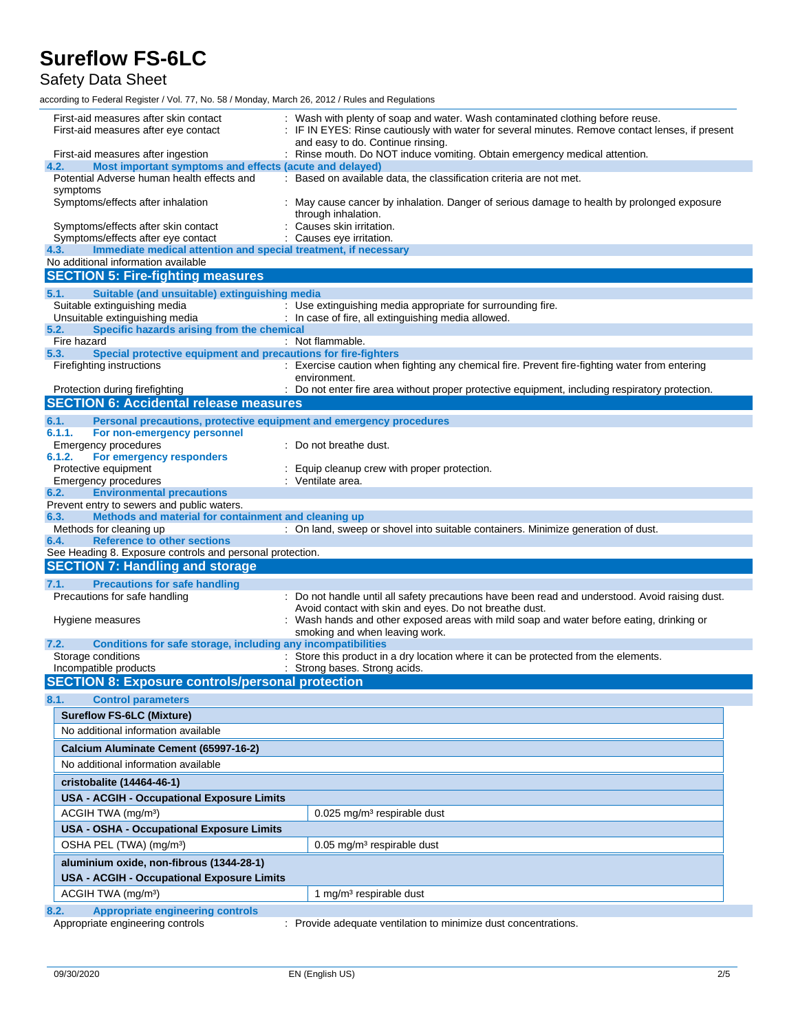Safety Data Sheet

according to Federal Register / Vol. 77, No. 58 / Monday, March 26, 2012 / Rules and Regulations

| First-aid measures after eye contact                                                                           | : Wash with plenty of soap and water. Wash contaminated clothing before reuse.<br>: IF IN EYES: Rinse cautiously with water for several minutes. Remove contact lenses, if present<br>and easy to do. Continue rinsing. |  |  |  |
|----------------------------------------------------------------------------------------------------------------|-------------------------------------------------------------------------------------------------------------------------------------------------------------------------------------------------------------------------|--|--|--|
| First-aid measures after ingestion<br>Most important symptoms and effects (acute and delayed)<br>4.2.          | : Rinse mouth. Do NOT induce vomiting. Obtain emergency medical attention.                                                                                                                                              |  |  |  |
| Potential Adverse human health effects and                                                                     | : Based on available data, the classification criteria are not met.                                                                                                                                                     |  |  |  |
| symptoms                                                                                                       |                                                                                                                                                                                                                         |  |  |  |
| Symptoms/effects after inhalation                                                                              | May cause cancer by inhalation. Danger of serious damage to health by prolonged exposure<br>through inhalation.                                                                                                         |  |  |  |
| Symptoms/effects after skin contact                                                                            | Causes skin irritation.                                                                                                                                                                                                 |  |  |  |
| Symptoms/effects after eye contact                                                                             | : Causes eye irritation.                                                                                                                                                                                                |  |  |  |
| Immediate medical attention and special treatment, if necessary<br>4.3.<br>No additional information available |                                                                                                                                                                                                                         |  |  |  |
| <b>SECTION 5: Fire-fighting measures</b>                                                                       |                                                                                                                                                                                                                         |  |  |  |
|                                                                                                                |                                                                                                                                                                                                                         |  |  |  |
| Suitable (and unsuitable) extinguishing media<br>5.1.<br>Suitable extinguishing media                          | : Use extinguishing media appropriate for surrounding fire.                                                                                                                                                             |  |  |  |
| Unsuitable extinguishing media                                                                                 | : In case of fire, all extinguishing media allowed.                                                                                                                                                                     |  |  |  |
| Specific hazards arising from the chemical<br>5.2.                                                             |                                                                                                                                                                                                                         |  |  |  |
| Fire hazard                                                                                                    | : Not flammable.                                                                                                                                                                                                        |  |  |  |
| Special protective equipment and precautions for fire-fighters<br>5.3.                                         |                                                                                                                                                                                                                         |  |  |  |
| Firefighting instructions                                                                                      | : Exercise caution when fighting any chemical fire. Prevent fire-fighting water from entering<br>environment.                                                                                                           |  |  |  |
| Protection during firefighting<br><b>SECTION 6: Accidental release measures</b>                                | : Do not enter fire area without proper protective equipment, including respiratory protection.                                                                                                                         |  |  |  |
|                                                                                                                |                                                                                                                                                                                                                         |  |  |  |
| 6.1.<br>Personal precautions, protective equipment and emergency procedures                                    |                                                                                                                                                                                                                         |  |  |  |
| 6.1.1.<br>For non-emergency personnel<br>Emergency procedures                                                  | Do not breathe dust.                                                                                                                                                                                                    |  |  |  |
| 6.1.2.<br>For emergency responders                                                                             |                                                                                                                                                                                                                         |  |  |  |
| Protective equipment                                                                                           | Equip cleanup crew with proper protection.                                                                                                                                                                              |  |  |  |
| <b>Emergency procedures</b>                                                                                    | : Ventilate area.                                                                                                                                                                                                       |  |  |  |
| <b>Environmental precautions</b><br>6.2.                                                                       |                                                                                                                                                                                                                         |  |  |  |
| Prevent entry to sewers and public waters.                                                                     |                                                                                                                                                                                                                         |  |  |  |
| Methods and material for containment and cleaning up<br>6.3.<br>Methods for cleaning up                        |                                                                                                                                                                                                                         |  |  |  |
| <b>Reference to other sections</b><br>6.4.                                                                     | : On land, sweep or shovel into suitable containers. Minimize generation of dust.                                                                                                                                       |  |  |  |
| See Heading 8. Exposure controls and personal protection.                                                      |                                                                                                                                                                                                                         |  |  |  |
| <b>SECTION 7: Handling and storage</b>                                                                         |                                                                                                                                                                                                                         |  |  |  |
| 7.1.<br><b>Precautions for safe handling</b>                                                                   |                                                                                                                                                                                                                         |  |  |  |
| Precautions for safe handling                                                                                  | : Do not handle until all safety precautions have been read and understood. Avoid raising dust.                                                                                                                         |  |  |  |
|                                                                                                                | Avoid contact with skin and eyes. Do not breathe dust.                                                                                                                                                                  |  |  |  |
|                                                                                                                | Wash hands and other exposed areas with mild soap and water before eating, drinking or                                                                                                                                  |  |  |  |
| Hygiene measures                                                                                               |                                                                                                                                                                                                                         |  |  |  |
|                                                                                                                | smoking and when leaving work.                                                                                                                                                                                          |  |  |  |
| Conditions for safe storage, including any incompatibilities<br>7.2.                                           |                                                                                                                                                                                                                         |  |  |  |
| Storage conditions                                                                                             | : Store this product in a dry location where it can be protected from the elements.                                                                                                                                     |  |  |  |
| Incompatible products                                                                                          | : Strong bases. Strong acids.                                                                                                                                                                                           |  |  |  |
| <b>SECTION 8: Exposure controls/personal protection</b>                                                        |                                                                                                                                                                                                                         |  |  |  |
| 8.1.<br><b>Control parameters</b>                                                                              |                                                                                                                                                                                                                         |  |  |  |
| <b>Sureflow FS-6LC (Mixture)</b>                                                                               |                                                                                                                                                                                                                         |  |  |  |
| No additional information available                                                                            |                                                                                                                                                                                                                         |  |  |  |
| Calcium Aluminate Cement (65997-16-2)                                                                          |                                                                                                                                                                                                                         |  |  |  |
| No additional information available                                                                            |                                                                                                                                                                                                                         |  |  |  |
|                                                                                                                |                                                                                                                                                                                                                         |  |  |  |
| cristobalite (14464-46-1)                                                                                      |                                                                                                                                                                                                                         |  |  |  |
| <b>USA - ACGIH - Occupational Exposure Limits</b>                                                              |                                                                                                                                                                                                                         |  |  |  |
| ACGIH TWA (mg/m <sup>3</sup> )                                                                                 | $0.025$ mg/m <sup>3</sup> respirable dust                                                                                                                                                                               |  |  |  |
| <b>USA - OSHA - Occupational Exposure Limits</b>                                                               |                                                                                                                                                                                                                         |  |  |  |
| OSHA PEL (TWA) (mg/m <sup>3</sup> )                                                                            | $0.05$ mg/m <sup>3</sup> respirable dust                                                                                                                                                                                |  |  |  |
| aluminium oxide, non-fibrous (1344-28-1)                                                                       |                                                                                                                                                                                                                         |  |  |  |
| <b>USA - ACGIH - Occupational Exposure Limits</b>                                                              |                                                                                                                                                                                                                         |  |  |  |
| ACGIH TWA (mg/m <sup>3</sup> )                                                                                 | 1 mg/m <sup>3</sup> respirable dust                                                                                                                                                                                     |  |  |  |
| <b>Appropriate engineering controls</b><br>8.2.                                                                |                                                                                                                                                                                                                         |  |  |  |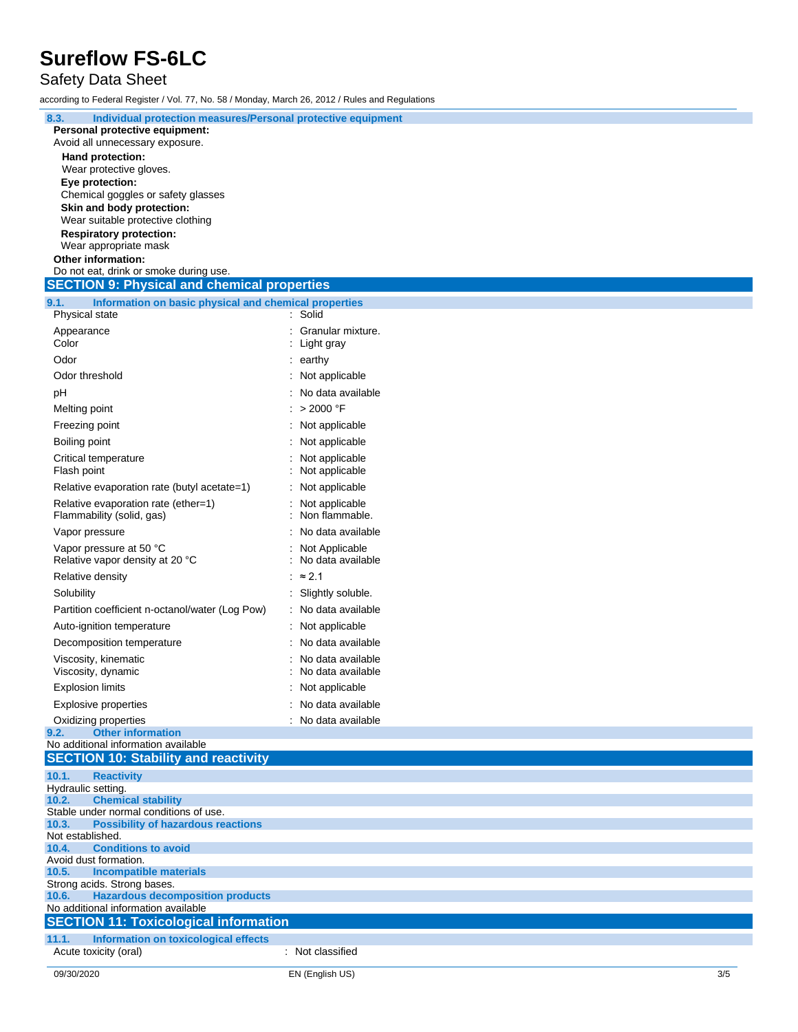### Safety Data Sheet

according to Federal Register / Vol. 77, No. 58 / Monday, March 26, 2012 / Rules and Regulations

| 8.3.<br>Individual protection measures/Personal protective equipment<br>Personal protective equipment:<br>Avoid all unnecessary exposure. |                                     |  |  |  |  |  |
|-------------------------------------------------------------------------------------------------------------------------------------------|-------------------------------------|--|--|--|--|--|
| Hand protection:                                                                                                                          |                                     |  |  |  |  |  |
| Wear protective gloves.<br>Eye protection:                                                                                                |                                     |  |  |  |  |  |
| Chemical goggles or safety glasses                                                                                                        |                                     |  |  |  |  |  |
| Skin and body protection:                                                                                                                 |                                     |  |  |  |  |  |
| Wear suitable protective clothing<br><b>Respiratory protection:</b>                                                                       |                                     |  |  |  |  |  |
| Wear appropriate mask                                                                                                                     |                                     |  |  |  |  |  |
| Other information:<br>Do not eat, drink or smoke during use.                                                                              |                                     |  |  |  |  |  |
| <b>SECTION 9: Physical and chemical properties</b>                                                                                        |                                     |  |  |  |  |  |
| 9.1.<br>Information on basic physical and chemical properties                                                                             |                                     |  |  |  |  |  |
| Physical state                                                                                                                            | : Solid                             |  |  |  |  |  |
| Appearance<br>Color                                                                                                                       | Granular mixture.<br>Light gray     |  |  |  |  |  |
| Odor                                                                                                                                      | $:$ earthy                          |  |  |  |  |  |
| Odor threshold                                                                                                                            | Not applicable                      |  |  |  |  |  |
| рH                                                                                                                                        | No data available                   |  |  |  |  |  |
| Melting point                                                                                                                             | : > 2000 °F                         |  |  |  |  |  |
| Freezing point                                                                                                                            | Not applicable                      |  |  |  |  |  |
| Boiling point                                                                                                                             | Not applicable                      |  |  |  |  |  |
| Critical temperature                                                                                                                      | Not applicable                      |  |  |  |  |  |
| Flash point                                                                                                                               | Not applicable                      |  |  |  |  |  |
| Relative evaporation rate (butyl acetate=1)                                                                                               | Not applicable                      |  |  |  |  |  |
| Relative evaporation rate (ether=1)<br>Flammability (solid, gas)                                                                          | Not applicable<br>Non flammable.    |  |  |  |  |  |
| Vapor pressure                                                                                                                            | No data available                   |  |  |  |  |  |
| Vapor pressure at 50 °C<br>Relative vapor density at 20 °C                                                                                | Not Applicable<br>No data available |  |  |  |  |  |
| Relative density                                                                                                                          | $\approx$ 2.1                       |  |  |  |  |  |
| Solubility                                                                                                                                | Slightly soluble.                   |  |  |  |  |  |
| Partition coefficient n-octanol/water (Log Pow)                                                                                           | No data available                   |  |  |  |  |  |
| Auto-ignition temperature<br>Decomposition temperature                                                                                    | Not applicable<br>No data available |  |  |  |  |  |
| Viscosity, kinematic                                                                                                                      | No data available                   |  |  |  |  |  |
| Viscosity, dynamic                                                                                                                        | No data available                   |  |  |  |  |  |
| <b>Explosion limits</b>                                                                                                                   | Not applicable                      |  |  |  |  |  |
| <b>Explosive properties</b>                                                                                                               | : No data available                 |  |  |  |  |  |
| Oxidizing properties<br><b>Other information</b><br>9.2.<br>No additional information available                                           | : No data available                 |  |  |  |  |  |
| <b>SECTION 10: Stability and reactivity</b>                                                                                               |                                     |  |  |  |  |  |
| 10.1.<br><b>Reactivity</b>                                                                                                                |                                     |  |  |  |  |  |
| Hydraulic setting.<br><b>Chemical stability</b>                                                                                           |                                     |  |  |  |  |  |
| 10.2.<br>Stable under normal conditions of use.                                                                                           |                                     |  |  |  |  |  |
| <b>Possibility of hazardous reactions</b><br>10.3.                                                                                        |                                     |  |  |  |  |  |
| Not established.<br><b>Conditions to avoid</b><br>10.4.                                                                                   |                                     |  |  |  |  |  |
| Avoid dust formation.                                                                                                                     |                                     |  |  |  |  |  |
| <b>Incompatible materials</b><br>10.5.<br>Strong acids. Strong bases.                                                                     |                                     |  |  |  |  |  |
| <b>Hazardous decomposition products</b><br>10.6.                                                                                          |                                     |  |  |  |  |  |
| No additional information available<br><b>SECTION 11: Toxicological information</b>                                                       |                                     |  |  |  |  |  |
| 11.1.<br>Information on toxicological effects                                                                                             |                                     |  |  |  |  |  |
| Acute toxicity (oral)                                                                                                                     | : Not classified                    |  |  |  |  |  |

09/30/2020 EN (English US)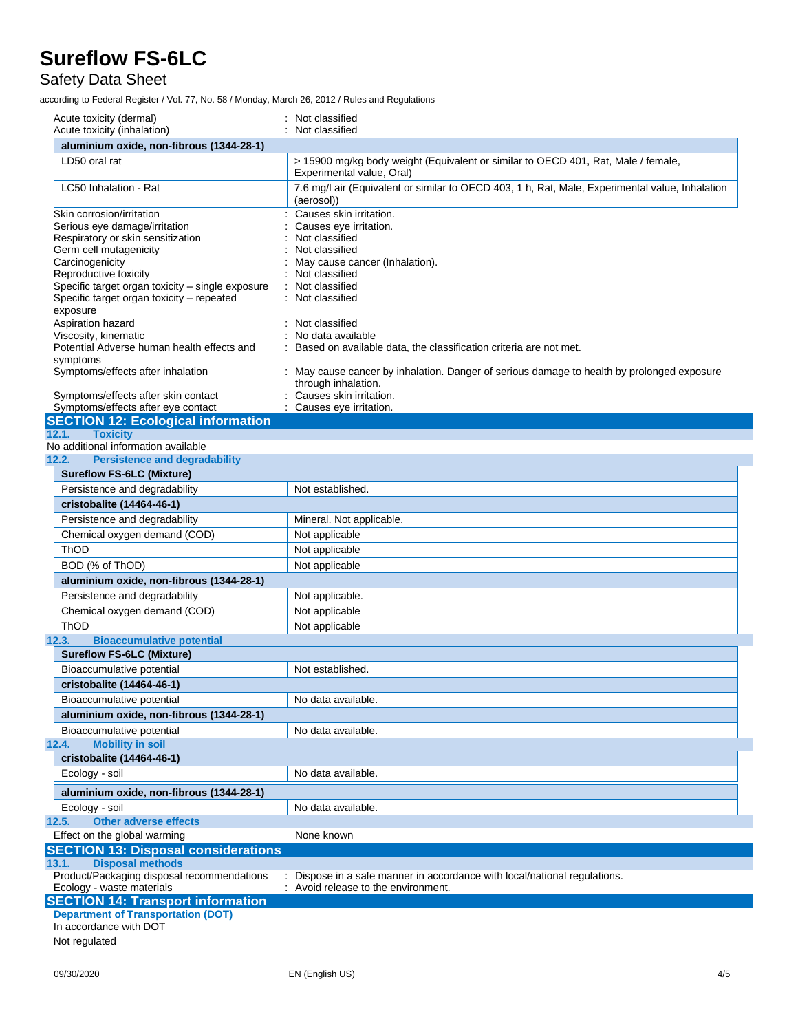### Safety Data Sheet

according to Federal Register / Vol. 77, No. 58 / Monday, March 26, 2012 / Rules and Regulations

| Acute toxicity (dermal)                                                   | Not classified                                                                                                  |
|---------------------------------------------------------------------------|-----------------------------------------------------------------------------------------------------------------|
| Acute toxicity (inhalation)                                               | Not classified                                                                                                  |
| aluminium oxide, non-fibrous (1344-28-1)                                  |                                                                                                                 |
| LD50 oral rat                                                             | > 15900 mg/kg body weight (Equivalent or similar to OECD 401, Rat, Male / female,<br>Experimental value, Oral)  |
| LC50 Inhalation - Rat                                                     | 7.6 mg/l air (Equivalent or similar to OECD 403, 1 h, Rat, Male, Experimental value, Inhalation<br>(aerosol))   |
| Skin corrosion/irritation                                                 | Causes skin irritation.                                                                                         |
| Serious eye damage/irritation                                             | Causes eye irritation.                                                                                          |
| Respiratory or skin sensitization                                         | Not classified                                                                                                  |
| Germ cell mutagenicity                                                    | Not classified                                                                                                  |
| Carcinogenicity                                                           | May cause cancer (Inhalation).<br>Not classified                                                                |
| Reproductive toxicity<br>Specific target organ toxicity - single exposure | Not classified                                                                                                  |
| Specific target organ toxicity - repeated                                 | Not classified                                                                                                  |
| exposure                                                                  |                                                                                                                 |
| Aspiration hazard                                                         | Not classified                                                                                                  |
| Viscosity, kinematic                                                      | No data available                                                                                               |
| Potential Adverse human health effects and                                | Based on available data, the classification criteria are not met.                                               |
| symptoms                                                                  |                                                                                                                 |
| Symptoms/effects after inhalation                                         | May cause cancer by inhalation. Danger of serious damage to health by prolonged exposure<br>through inhalation. |
| Symptoms/effects after skin contact                                       | Causes skin irritation.                                                                                         |
| Symptoms/effects after eye contact                                        | Causes eye irritation.                                                                                          |
| <b>SECTION 12: Ecological information</b>                                 |                                                                                                                 |
| <b>Toxicity</b><br>12.1.                                                  |                                                                                                                 |
| No additional information available                                       |                                                                                                                 |
| 12.2.<br><b>Persistence and degradability</b>                             |                                                                                                                 |
| <b>Sureflow FS-6LC (Mixture)</b>                                          |                                                                                                                 |
| Persistence and degradability                                             | Not established.                                                                                                |
| cristobalite (14464-46-1)                                                 |                                                                                                                 |
| Persistence and degradability                                             | Mineral. Not applicable.                                                                                        |
| Chemical oxygen demand (COD)                                              | Not applicable                                                                                                  |
| ThOD                                                                      | Not applicable                                                                                                  |
| BOD (% of ThOD)                                                           | Not applicable                                                                                                  |
| aluminium oxide, non-fibrous (1344-28-1)                                  |                                                                                                                 |
| Persistence and degradability                                             | Not applicable.                                                                                                 |
|                                                                           |                                                                                                                 |
| Chemical oxygen demand (COD)                                              | Not applicable                                                                                                  |
| <b>ThOD</b>                                                               | Not applicable                                                                                                  |
| 12.3.<br><b>Bioaccumulative potential</b>                                 |                                                                                                                 |
| <b>Sureflow FS-6LC (Mixture)</b>                                          |                                                                                                                 |
| Bioaccumulative potential                                                 | Not established.                                                                                                |
| cristobalite (14464-46-1)                                                 |                                                                                                                 |
| Bioaccumulative potential                                                 | No data available.                                                                                              |
| aluminium oxide, non-fibrous (1344-28-1)                                  |                                                                                                                 |
| Bioaccumulative potential                                                 | No data available.                                                                                              |
| <b>Mobility in soil</b><br>12.4.                                          |                                                                                                                 |
| cristobalite (14464-46-1)                                                 |                                                                                                                 |
| Ecology - soil                                                            | No data available.                                                                                              |
|                                                                           |                                                                                                                 |
| aluminium oxide, non-fibrous (1344-28-1)                                  |                                                                                                                 |
| Ecology - soil                                                            | No data available.                                                                                              |
| <b>Other adverse effects</b><br>12.5.                                     |                                                                                                                 |
| Effect on the global warming                                              | None known                                                                                                      |
| <b>SECTION 13: Disposal considerations</b>                                |                                                                                                                 |
| <b>Disposal methods</b><br>13.1.                                          |                                                                                                                 |
| Product/Packaging disposal recommendations                                | Dispose in a safe manner in accordance with local/national regulations.                                         |
| Ecology - waste materials                                                 | : Avoid release to the environment.                                                                             |
| <b>SECTION 14: Transport information</b>                                  |                                                                                                                 |
| <b>Department of Transportation (DOT)</b>                                 |                                                                                                                 |
| In accordance with DOT                                                    |                                                                                                                 |
| Not regulated                                                             |                                                                                                                 |